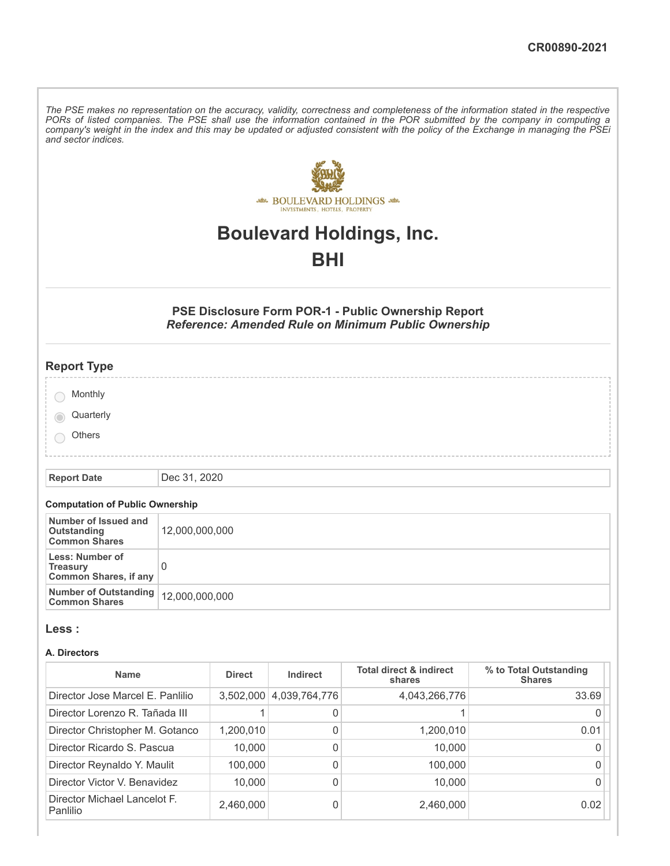The PSE makes no representation on the accuracy, validity, correctness and completeness of the information stated in the respective PORs of listed companies. The PSE shall use the information contained in the POR submitted by the company in computing a company's weight in the index and this may be updated or adjusted consistent with the policy of the Exchange in managing the PSEi *and sector indices.*



# **Boulevard Holdings, Inc.**

## **BHI**

#### **PSE Disclosure Form POR-1 - Public Ownership Report** *Reference: Amended Rule on Minimum Public Ownership*

| <b>Report Type</b> |  |
|--------------------|--|
| Monthly            |  |
| Quarterly          |  |
| Others             |  |
|                    |  |

**Report Date** Dec 31, 2020

#### **Computation of Public Ownership**

| Number of Issued and<br>Outstanding<br><b>Common Shares</b>        | 12,000,000,000 |
|--------------------------------------------------------------------|----------------|
| Less: Number of<br><b>Treasury</b><br><b>Common Shares, if any</b> |                |
| Number of Outstanding   12,000,000,000<br><b>Common Shares</b>     |                |

#### **Less :**

#### **A. Directors**

| <b>Name</b>                              | <b>Direct</b> | Indirect      | <b>Total direct &amp; indirect</b><br>shares | % to Total Outstanding<br><b>Shares</b> |
|------------------------------------------|---------------|---------------|----------------------------------------------|-----------------------------------------|
| Director Jose Marcel E. Panlilio         | 3,502,000     | 4,039,764,776 | 4,043,266,776                                | 33.69                                   |
| Director Lorenzo R. Tañada III           |               | 0             |                                              |                                         |
| Director Christopher M. Gotanco          | 1,200,010     | 0             | 1,200,010                                    | 0.01                                    |
| Director Ricardo S. Pascua               | 10,000        | 0             | 10,000                                       |                                         |
| Director Reynaldo Y. Maulit              | 100.000       | 0             | 100,000                                      |                                         |
| Director Victor V. Benavidez             | 10,000        | 0             | 10,000                                       |                                         |
| Director Michael Lancelot F.<br>Panlilio | 2,460,000     | 0             | 2,460,000                                    | 0.02                                    |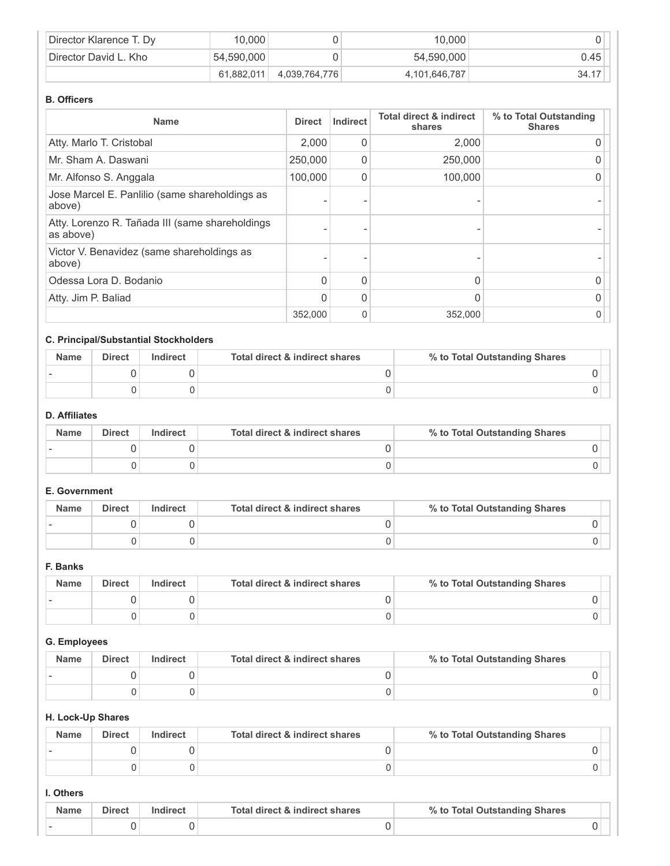| Director Klarence T. Dy | 10,000     |               | 10,000        |       |
|-------------------------|------------|---------------|---------------|-------|
| Director David L. Kho   | 54.590.000 |               | 54,590,000    | 0.45  |
|                         | 61,882,011 | 4,039,764,776 | 4,101,646,787 | 34.17 |

#### **B. Officers**

| <b>Name</b>                                                  | <b>Direct</b> | Indirect    | <b>Total direct &amp; indirect</b><br>shares | % to Total Outstanding<br><b>Shares</b> |
|--------------------------------------------------------------|---------------|-------------|----------------------------------------------|-----------------------------------------|
| Atty. Marlo T. Cristobal                                     | 2.000         | 0           | 2,000                                        |                                         |
| Mr. Sham A. Daswani                                          | 250,000       | 0           | 250,000                                      |                                         |
| Mr. Alfonso S. Anggala                                       | 100,000       | 0           | 100,000                                      |                                         |
| Jose Marcel E. Panlilio (same shareholdings as<br>above)     |               |             |                                              |                                         |
| Atty. Lorenzo R. Tañada III (same shareholdings<br>as above) |               |             |                                              |                                         |
| Victor V. Benavidez (same shareholdings as<br>above)         |               |             |                                              |                                         |
| Odessa Lora D. Bodanio                                       | $\Omega$      | 0           | N                                            |                                         |
| Atty. Jim P. Baliad                                          | 0             | 0           |                                              |                                         |
|                                                              | 352,000       | $\mathbf 0$ | 352,000                                      |                                         |

## **C. Principal/Substantial Stockholders**

| <b>Name</b> | <b>Direct</b> | Indirect | Total direct & indirect shares | % to Total Outstanding Shares |  |
|-------------|---------------|----------|--------------------------------|-------------------------------|--|
|             |               |          |                                |                               |  |
|             |               |          |                                |                               |  |

## **D. Affiliates**

| <b>Name</b> | <b>Direct</b> | Indirect | Total direct & indirect shares | % to Total Outstanding Shares |
|-------------|---------------|----------|--------------------------------|-------------------------------|
|             |               |          |                                |                               |
|             |               |          |                                |                               |

### **E. Government**

| <b>Name</b> | <b>Direct</b> | Indirect | Total direct & indirect shares | % to Total Outstanding Shares |
|-------------|---------------|----------|--------------------------------|-------------------------------|
|             |               |          |                                |                               |
|             |               |          |                                |                               |

#### **F. Banks**

| <b>Name</b> | <b>Direct</b> | Indirect | Total direct & indirect shares | % to Total Outstanding Shares |
|-------------|---------------|----------|--------------------------------|-------------------------------|
|             |               |          |                                |                               |
|             |               |          |                                |                               |

## **G. Employees**

| <b>Name</b> | <b>Direct</b> | Indirect | Total direct & indirect shares | % to Total Outstanding Shares |
|-------------|---------------|----------|--------------------------------|-------------------------------|
|             |               |          |                                |                               |
|             |               |          |                                |                               |

#### **H. Lock-Up Shares**

| <b>Name</b> | <b>Direct</b> | Indirect | Total direct & indirect shares | % to Total Outstanding Shares |
|-------------|---------------|----------|--------------------------------|-------------------------------|
|             |               |          |                                |                               |
|             |               |          |                                |                               |

#### **I. Others**

| <b>Name</b> | Direct | Indirect | Total direct & indirect shares | % to Total Outstanding Shares |  |
|-------------|--------|----------|--------------------------------|-------------------------------|--|
|             |        |          |                                |                               |  |